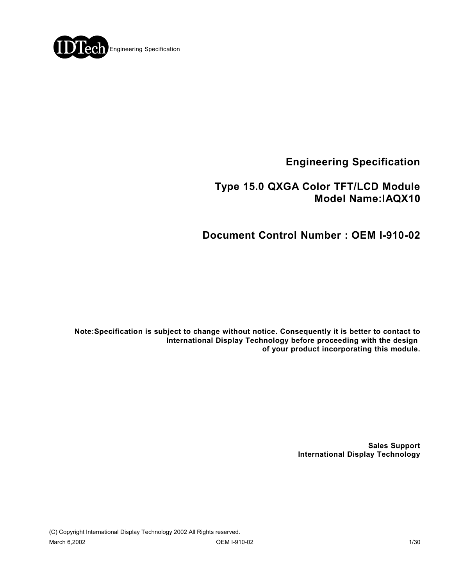

**Engineering Specification**

## **Type 15.0 QXGA Color TFT/LCD Module Model Name:IAQX10**

## **Document Control Number : OEM I-910-02**

**Note:Specification is subject to change without notice. Consequently it is better to contact to International Display Technology before proceeding with the design of your product incorporating this module.**

> **Sales Support International Display Technology**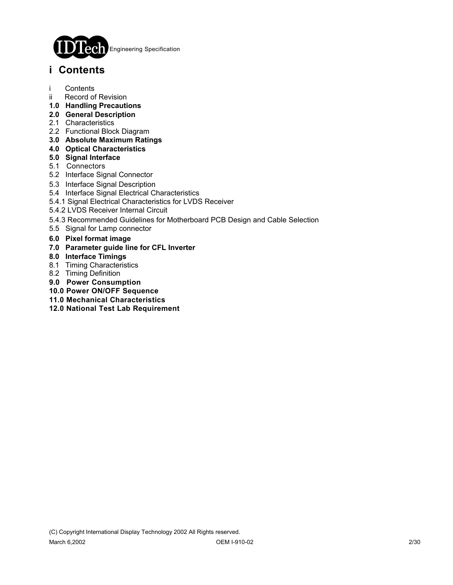

## **i Contents**

- i Contents
- ii Record of Revision
- **1.0 Handling Precautions**
- **2.0 General Description**
- 2.1 Characteristics
- 2.2 Functional Block Diagram
- **3.0 Absolute Maximum Ratings**
- **4.0 Optical Characteristics**
- **5.0 Signal Interface**
- 5.1 Connectors
- 5.2 Interface Signal Connector
- 5.3 Interface Signal Description
- 5.4 Interface Signal Electrical Characteristics
- 5.4.1 Signal Electrical Characteristics for LVDS Receiver
- 5.4.2 LVDS Receiver Internal Circuit
- 5.4.3 Recommended Guidelines for Motherboard PCB Design and Cable Selection
- 5.5 Signal for Lamp connector
- **6.0 Pixel format image**
- **7.0 Parameter guide line for CFL Inverter**
- **8.0 Interface Timings**
- 8.1 Timing Characteristics
- 8.2 Timing Definition
- **9.0 Power Consumption**
- **10.0 Power ON/OFF Sequence**
- **11.0 Mechanical Characteristics**
- **12.0 National Test Lab Requirement**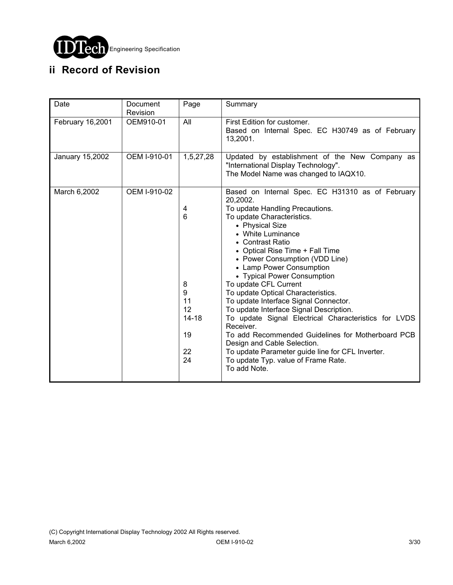

# **ii Record of Revision**

| Date             | Document<br>Revision | Page                                                        | Summary                                                                                                                                                                                                                                                                                                                                                                                                                                                                                                                                                                                                                                                                                                                                          |
|------------------|----------------------|-------------------------------------------------------------|--------------------------------------------------------------------------------------------------------------------------------------------------------------------------------------------------------------------------------------------------------------------------------------------------------------------------------------------------------------------------------------------------------------------------------------------------------------------------------------------------------------------------------------------------------------------------------------------------------------------------------------------------------------------------------------------------------------------------------------------------|
| February 16,2001 | OEM910-01            | All                                                         | First Edition for customer.<br>Based on Internal Spec. EC H30749 as of February<br>13,2001.                                                                                                                                                                                                                                                                                                                                                                                                                                                                                                                                                                                                                                                      |
| January 15,2002  | OEM I-910-01         | 1,5,27,28                                                   | Updated by establishment of the New Company as<br>"International Display Technology".<br>The Model Name was changed to IAQX10.                                                                                                                                                                                                                                                                                                                                                                                                                                                                                                                                                                                                                   |
| March 6,2002     | OEM I-910-02         | 4<br>6<br>8<br>9<br>11<br>12<br>$14 - 18$<br>19<br>22<br>24 | Based on Internal Spec. EC H31310 as of February<br>20,2002.<br>To update Handling Precautions.<br>To update Characteristics.<br>• Physical Size<br>• White Luminance<br>• Contrast Ratio<br>• Optical Rise Time + Fall Time<br>• Power Consumption (VDD Line)<br>• Lamp Power Consumption<br>• Typical Power Consumption<br>To update CFL Current<br>To update Optical Characteristics.<br>To update Interface Signal Connector.<br>To update Interface Signal Description.<br>To update Signal Electrical Characteristics for LVDS<br>Receiver.<br>To add Recommended Guidelines for Motherboard PCB<br>Design and Cable Selection.<br>To update Parameter guide line for CFL Inverter.<br>To update Typ. value of Frame Rate.<br>To add Note. |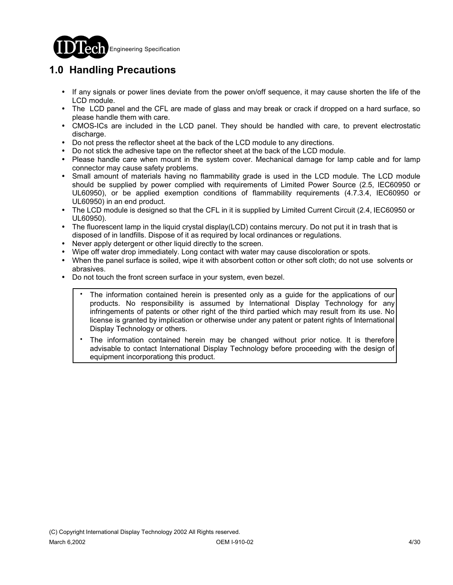

# **1.0 Handling Precautions**

- ! If any signals or power lines deviate from the power on/off sequence, it may cause shorten the life of the LCD module.
- ! The LCD panel and the CFL are made of glass and may break or crack if dropped on a hard surface, so please handle them with care.
- CMOS-ICs are included in the LCD panel. They should be handled with care, to prevent electrostatic discharge.
- ! Do not press the reflector sheet at the back of the LCD module to any directions.
- ! Do not stick the adhesive tape on the reflector sheet at the back of the LCD module.
- ! Please handle care when mount in the system cover. Mechanical damage for lamp cable and for lamp connector may cause safety problems.
- Small amount of materials having no flammability grade is used in the LCD module. The LCD module should be supplied by power complied with requirements of Limited Power Source (2.5, IEC60950 or UL60950), or be applied exemption conditions of flammability requirements (4.7.3.4, IEC60950 or UL60950) in an end product.
- ! The LCD module is designed so that the CFL in it is supplied by Limited Current Circuit (2.4, IEC60950 or UL60950).
- ! The fluorescent lamp in the liquid crystal display(LCD) contains mercury. Do not put it in trash that is disposed of in landfills. Dispose of it as required by local ordinances or regulations.
- Never apply detergent or other liquid directly to the screen.
- Wipe off water drop immediately. Long contact with water may cause discoloration or spots.
- ! When the panel surface is soiled, wipe it with absorbent cotton or other soft cloth; do not use solvents or abrasives.
- ! Do not touch the front screen surface in your system, even bezel.
	- The information contained herein is presented only as a guide for the applications of our products. No responsibility is assumed by International Display Technology for any infringements of patents or other right of the third partied which may result from its use. No license is granted by implication or otherwise under any patent or patent rights of International Display Technology or others. .
	- The information contained herein may be changed without prior notice. It is therefore advisable to contact International Display Technology before proceeding with the design of equipment incorporationg this product. .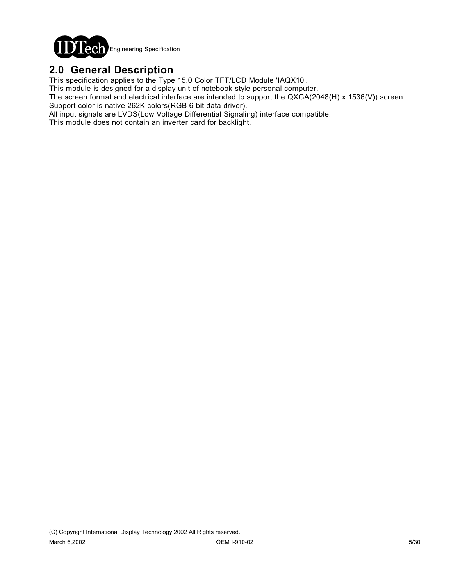

## **2.0 General Description**

This specification applies to the Type 15.0 Color TFT/LCD Module 'IAQX10'.

This module is designed for a display unit of notebook style personal computer.

The screen format and electrical interface are intended to support the QXGA(2048(H) x 1536(V)) screen. Support color is native 262K colors(RGB 6-bit data driver).

All input signals are LVDS(Low Voltage Differential Signaling) interface compatible.

This module does not contain an inverter card for backlight.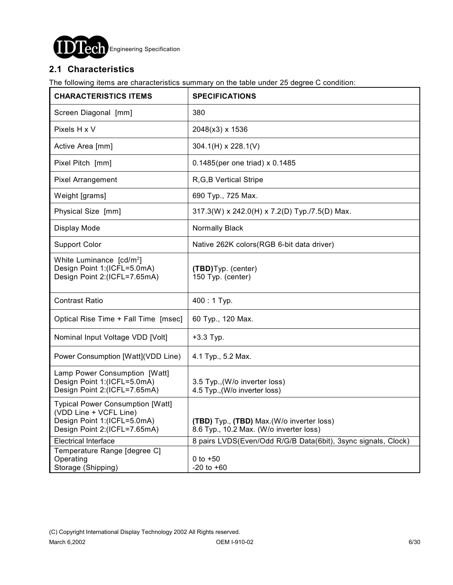

### **2.1 Characteristics**

The following items are characteristics summary on the table under 25 degree C condition:

| <b>CHARACTERISTICS ITEMS</b>                                                                                                     | <b>SPECIFICATIONS</b>                                                                 |  |
|----------------------------------------------------------------------------------------------------------------------------------|---------------------------------------------------------------------------------------|--|
| Screen Diagonal [mm]                                                                                                             | 380                                                                                   |  |
| Pixels H x V                                                                                                                     | 2048(x3) x 1536                                                                       |  |
| Active Area [mm]                                                                                                                 | $304.1(H) \times 228.1(V)$                                                            |  |
| Pixel Pitch [mm]                                                                                                                 | 0.1485(per one triad) x 0.1485                                                        |  |
| Pixel Arrangement                                                                                                                | R, G, B Vertical Stripe                                                               |  |
| Weight [grams]                                                                                                                   | 690 Typ., 725 Max.                                                                    |  |
| Physical Size [mm]                                                                                                               | 317.3(W) x 242.0(H) x 7.2(D) Typ./7.5(D) Max.                                         |  |
| Display Mode                                                                                                                     | Normally Black                                                                        |  |
| <b>Support Color</b>                                                                                                             | Native 262K colors(RGB 6-bit data driver)                                             |  |
| White Luminance [cd/m <sup>2</sup> ]<br>Design Point 1:(ICFL=5.0mA)<br>Design Point 2:(ICFL=7.65mA)                              | (TBD) Typ. (center)<br>150 Typ. (center)                                              |  |
| <b>Contrast Ratio</b>                                                                                                            | $400:1$ Typ.                                                                          |  |
| Optical Rise Time + Fall Time [msec]                                                                                             | 60 Typ., 120 Max.                                                                     |  |
| Nominal Input Voltage VDD [Volt]                                                                                                 | $+3.3$ Typ.                                                                           |  |
| Power Consumption [Watt](VDD Line)                                                                                               | 4.1 Typ., 5.2 Max.                                                                    |  |
| Lamp Power Consumption [Watt]<br>Design Point 1:(ICFL=5.0mA)<br>Design Point 2:(ICFL=7.65mA)                                     | 3.5 Typ., (W/o inverter loss)<br>4.5 Typ., (W/o inverter loss)                        |  |
| <b>Typical Power Consumption [Watt]</b><br>(VDD Line + VCFL Line)<br>Design Point 1:(ICFL=5.0mA)<br>Design Point 2:(ICFL=7.65mA) | (TBD) Typ., (TBD) Max. (W/o inverter loss)<br>8.6 Typ., 10.2 Max. (W/o inverter loss) |  |
| <b>Electrical Interface</b>                                                                                                      | 8 pairs LVDS(Even/Odd R/G/B Data(6bit), 3sync signals, Clock)                         |  |
| Temperature Range [degree C]<br>Operating<br>Storage (Shipping)                                                                  | 0 to $+50$<br>$-20$ to $+60$                                                          |  |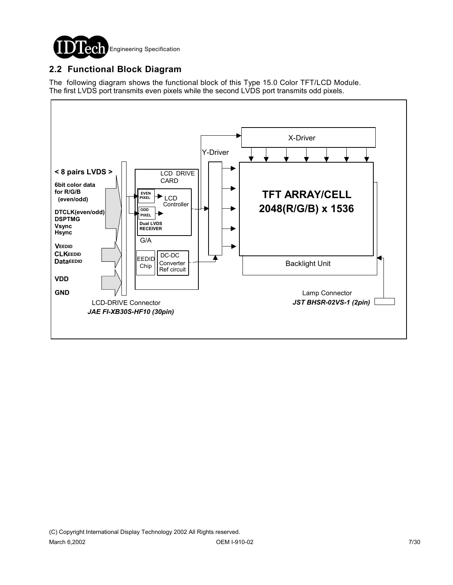

### **2.2 Functional Block Diagram**

The following diagram shows the functional block of this Type 15.0 Color TFT/LCD Module. The first LVDS port transmits even pixels while the second LVDS port transmits odd pixels.

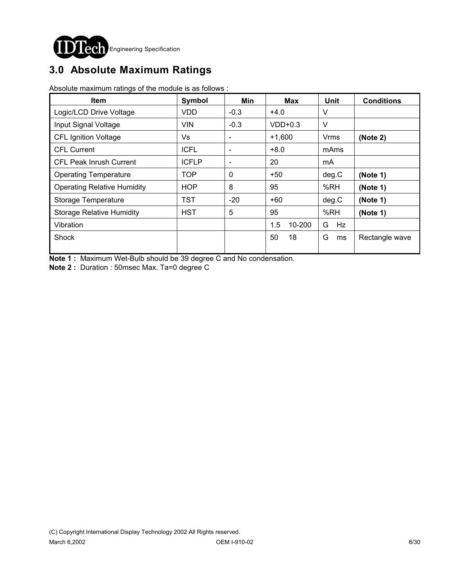

# **3.0 Absolute Maximum Ratings**

Absolute maximum ratings of the module is as follows :

| <b>Item</b>                        | Symbol       | Min                      | Max           | <b>Unit</b> | <b>Conditions</b> |
|------------------------------------|--------------|--------------------------|---------------|-------------|-------------------|
| Logic/LCD Drive Voltage            | <b>VDD</b>   | $-0.3$                   | $+4.0$        | V           |                   |
| Input Signal Voltage               | <b>VIN</b>   | $-0.3$                   | $VDD+0.3$     | V           |                   |
| <b>CFL Ignition Voltage</b>        | Vs           | $\overline{\phantom{a}}$ | $+1,600$      | Vrms        | (Note 2)          |
| <b>CFL Current</b>                 | <b>ICFL</b>  | $\overline{\phantom{a}}$ | $+8.0$        | mAms        |                   |
| <b>CFL Peak Inrush Current</b>     | <b>ICFLP</b> | $\overline{\phantom{a}}$ | 20            | mA          |                   |
| <b>Operating Temperature</b>       | <b>TOP</b>   | $\mathbf{0}$             | $+50$         | deg.C       | (Note 1)          |
| <b>Operating Relative Humidity</b> | <b>HOP</b>   | 8                        | 95            | %RH         | (Note 1)          |
| Storage Temperature                | <b>TST</b>   | $-20$                    | $+60$         | deg.C       | (Note 1)          |
| <b>Storage Relative Humidity</b>   | <b>HST</b>   | 5                        | 95            | %RH         | (Note 1)          |
| Vibration                          |              |                          | 1.5<br>10-200 | Hz<br>G     |                   |
| Shock                              |              |                          | 50<br>18      | G<br>ms     | Rectangle wave    |

**Note 1 :** Maximum Wet-Bulb should be 39 degree C and No condensation.

**Note 2 :** Duration : 50msec Max. Ta=0 degree C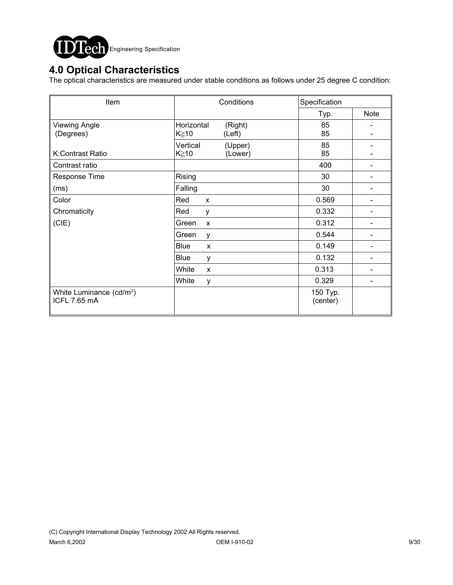

## **4.0 Optical Characteristics**

The optical characteristics are measured under stable conditions as follows under 25 degree C condition:

| Item                                                 | Conditions                         | Specification        |             |
|------------------------------------------------------|------------------------------------|----------------------|-------------|
|                                                      |                                    | Typ.                 | <b>Note</b> |
| <b>Viewing Angle</b>                                 | Horizontal<br>(Right)              | 85                   |             |
| (Degrees)                                            | K≥10<br>(Left)                     | 85                   |             |
|                                                      | Vertical<br>(Upper)                | 85                   |             |
| K:Contrast Ratio                                     | $K \geq 10$<br>(Lower)             | 85                   |             |
| Contrast ratio                                       |                                    | 400                  |             |
| Response Time                                        | Rising                             | 30                   |             |
| (ms)                                                 | Falling                            | 30                   |             |
| Color                                                | Red<br>X                           | 0.569                |             |
| Chromaticity                                         | Red<br>y                           | 0.332                |             |
| (CIE)                                                | Green<br>$\boldsymbol{\mathsf{x}}$ | 0.312                |             |
|                                                      | Green<br>у                         | 0.544                |             |
|                                                      | <b>Blue</b><br>X                   | 0.149                |             |
|                                                      | <b>Blue</b><br>у                   | 0.132                |             |
|                                                      | White<br>X                         | 0.313                |             |
|                                                      | White<br>у                         | 0.329                |             |
| White Luminance (cd/m <sup>2</sup> )<br>ICFL 7.65 mA |                                    | 150 Typ.<br>(center) |             |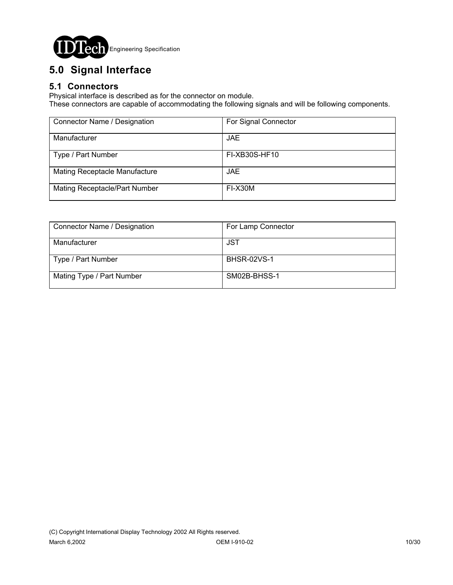

# **5.0 Signal Interface**

### **5.1 Connectors**

Physical interface is described as for the connector on module.

These connectors are capable of accommodating the following signals and will be following components.

| Connector Name / Designation  | For Signal Connector |
|-------------------------------|----------------------|
| Manufacturer                  | JAE.                 |
| Type / Part Number            | FI-XB30S-HF10        |
| Mating Receptacle Manufacture | JAE.                 |
| Mating Receptacle/Part Number | FI-X30M              |

| Connector Name / Designation | For Lamp Connector |
|------------------------------|--------------------|
| Manufacturer                 | JST                |
| Type / Part Number           | <b>BHSR-02VS-1</b> |
| Mating Type / Part Number    | SM02B-BHSS-1       |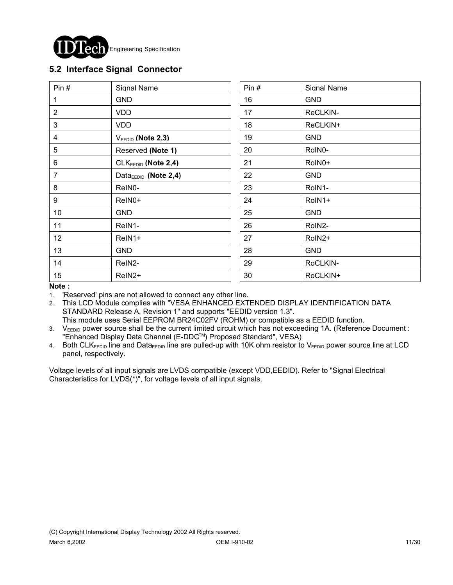

### **5.2 Interface Signal Connector**

| Pin $#$         | Signal Name                      | Pin# | Signal Name |
|-----------------|----------------------------------|------|-------------|
| 1               | <b>GND</b>                       | 16   | <b>GND</b>  |
| $\overline{2}$  | <b>VDD</b>                       | 17   | ReCLKIN-    |
| 3               | <b>VDD</b>                       | 18   | ReCLKIN+    |
| 4               | $V_{EEDID}$ (Note 2,3)           | 19   | <b>GND</b>  |
| 5               | Reserved (Note 1)                | 20   | RoIN0-      |
| 6               | $CLKEEDID$ (Note 2,4)            | 21   | RoIN0+      |
| $\overline{7}$  | Data <sub>EEDID</sub> (Note 2,4) | 22   | <b>GND</b>  |
| 8               | ReIN0-                           | 23   | RoIN1-      |
| 9               | ReIN0+                           | 24   | RoIN1+      |
| 10 <sup>°</sup> | <b>GND</b>                       | 25   | <b>GND</b>  |
| 11              | ReIN1-                           | 26   | RoIN2-      |
| 12              | ReIN1+                           | 27   | RoIN2+      |
| 13              | <b>GND</b>                       | 28   | <b>GND</b>  |
| 14              | ReIN2-                           | 29   | RoCLKIN-    |
| 15              | ReIN <sub>2</sub> +              | 30   | RoCLKIN+    |

#### **Note :**

1. 'Reserved' pins are not allowed to connect any other line.

- 2. This LCD Module complies with "VESA ENHANCED EXTENDED DISPLAY IDENTIFICATION DATA STANDARD Release A, Revision 1" and supports "EEDID version 1.3". This module uses Serial EEPROM BR24C02FV (ROHM) or compatible as a EEDID function.
- 3. VEEDID power source shall be the current limited circuit which has not exceeding 1A. (Reference Document : "Enhanced Display Data Channel (E-DDCTM) Proposed Standard", VESA)

4. Both CLKEEDID line and DataEEDID line are pulled-up with 10K ohm resistor to VEEDID power source line at LCD panel, respectively.

Voltage levels of all input signals are LVDS compatible (except VDD,EEDID). Refer to "Signal Electrical Characteristics for LVDS(\*)", for voltage levels of all input signals.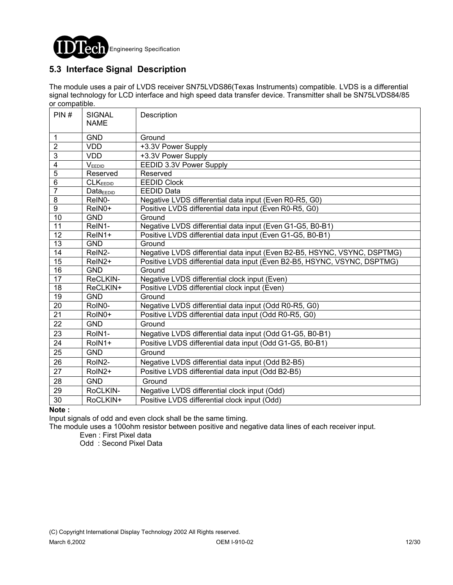

### **5.3 Interface Signal Description**

The module uses a pair of LVDS receiver SN75LVDS86(Texas Instruments) compatible. LVDS is a differential signal technology for LCD interface and high speed data transfer device. Transmitter shall be SN75LVDS84/85 or compatible.

| PIN#            | <b>SIGNAL</b><br><b>NAME</b> | Description                                                              |
|-----------------|------------------------------|--------------------------------------------------------------------------|
|                 |                              |                                                                          |
| 1               | <b>GND</b>                   | Ground                                                                   |
| $\overline{2}$  | <b>VDD</b>                   | +3.3V Power Supply                                                       |
| $\overline{3}$  | <b>VDD</b>                   | +3.3V Power Supply                                                       |
| 4               | VEEDID                       | EEDID 3.3V Power Supply                                                  |
| $\overline{5}$  | Reserved                     | Reserved                                                                 |
| 6               | <b>CLKEEDID</b>              | <b>EEDID Clock</b>                                                       |
| $\overline{7}$  | $Data_{EEDID}$               | <b>EEDID Data</b>                                                        |
| 8               | ReIN0-                       | Negative LVDS differential data input (Even R0-R5, G0)                   |
| $\overline{9}$  | ReIN0+                       | Positive LVDS differential data input (Even R0-R5, G0)                   |
| 10              | <b>GND</b>                   | Ground                                                                   |
| $\overline{11}$ | ReIN1-                       | Negative LVDS differential data input (Even G1-G5, B0-B1)                |
| 12              | ReIN1+                       | Positive LVDS differential data input (Even G1-G5, B0-B1)                |
| 13              | <b>GND</b>                   | Ground                                                                   |
| 14              | ReIN2-                       | Negative LVDS differential data input (Even B2-B5, HSYNC, VSYNC, DSPTMG) |
| $\overline{15}$ | ReIN <sub>2</sub> +          | Positive LVDS differential data input (Even B2-B5, HSYNC, VSYNC, DSPTMG) |
| 16              | <b>GND</b>                   | Ground                                                                   |
| $\overline{17}$ | ReCLKIN-                     | Negative LVDS differential clock input (Even)                            |
| $\overline{18}$ | ReCLKIN+                     | Positive LVDS differential clock input (Even)                            |
| $\overline{19}$ | <b>GND</b>                   | Ground                                                                   |
| $\overline{20}$ | RoIN0-                       | Negative LVDS differential data input (Odd R0-R5, G0)                    |
| 21              | RoIN0+                       | Positive LVDS differential data input (Odd R0-R5, G0)                    |
| 22              | <b>GND</b>                   | Ground                                                                   |
| 23              | RoIN1-                       | Negative LVDS differential data input (Odd G1-G5, B0-B1)                 |
| 24              | RoIN1+                       | Positive LVDS differential data input (Odd G1-G5, B0-B1)                 |
| 25              | <b>GND</b>                   | Ground                                                                   |
| 26              | RoIN2-                       | Negative LVDS differential data input (Odd B2-B5)                        |
| $\overline{27}$ | RoIN2+                       | Positive LVDS differential data input (Odd B2-B5)                        |
| 28              | <b>GND</b>                   | Ground                                                                   |
| 29              | RoCLKIN-                     | Negative LVDS differential clock input (Odd)                             |
| 30              | RoCLKIN+                     | Positive LVDS differential clock input (Odd)                             |

#### **Note :**

Input signals of odd and even clock shall be the same timing.

The module uses a 100ohm resistor between positive and negative data lines of each receiver input.

Even : First Pixel data

Odd : Second Pixel Data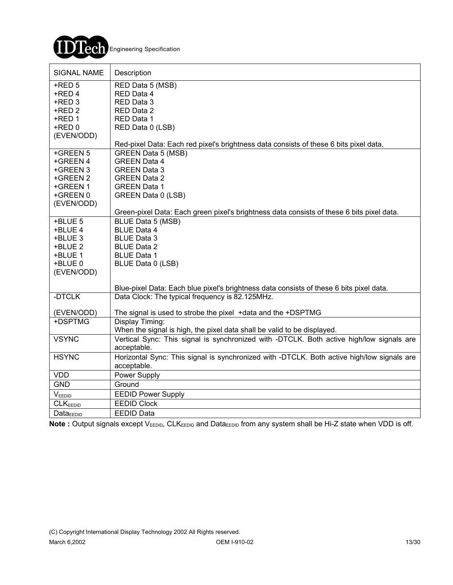

| <b>SIGNAL NAME</b>    | Description                                                                                |
|-----------------------|--------------------------------------------------------------------------------------------|
| $+$ RED 5             | RED Data 5 (MSB)                                                                           |
| +RED 4                | RED Data 4                                                                                 |
| +RED 3                | RED Data 3                                                                                 |
| $+$ RED 2             | RED Data 2                                                                                 |
| $+$ RED 1             | RED Data 1                                                                                 |
| $+$ RED $0$           | RED Data 0 (LSB)                                                                           |
| (EVEN/ODD)            | Red-pixel Data: Each red pixel's brightness data consists of these 6 bits pixel data.      |
| +GREEN 5              | <b>GREEN Data 5 (MSB)</b>                                                                  |
| +GREEN 4              | <b>GREEN Data 4</b>                                                                        |
| +GREEN 3              | <b>GREEN Data 3</b>                                                                        |
| +GREEN 2              | <b>GREEN Data 2</b>                                                                        |
| +GREEN 1              | <b>GREEN Data 1</b>                                                                        |
| +GREEN 0              | GREEN Data 0 (LSB)                                                                         |
| (EVEN/ODD)            |                                                                                            |
|                       | Green-pixel Data: Each green pixel's brightness data consists of these 6 bits pixel data.  |
| +BLUE 5               | BLUE Data 5 (MSB)                                                                          |
| +BLUE 4               | <b>BLUE Data 4</b>                                                                         |
| +BLUE 3               | <b>BLUE Data 3</b>                                                                         |
| +BLUE 2               | <b>BLUE Data 2</b>                                                                         |
| +BLUE 1               | <b>BLUE Data 1</b>                                                                         |
| +BLUE 0<br>(EVEN/ODD) | BLUE Data 0 (LSB)                                                                          |
|                       |                                                                                            |
|                       | Blue-pixel Data: Each blue pixel's brightness data consists of these 6 bits pixel data.    |
| -DTCLK                | Data Clock: The typical frequency is 82.125MHz.                                            |
| (EVEN/ODD)            | The signal is used to strobe the pixel +data and the +DSPTMG                               |
| +DSPTMG               | Display Timing:                                                                            |
|                       | When the signal is high, the pixel data shall be valid to be displayed.                    |
| <b>VSYNC</b>          | Vertical Sync: This signal is synchronized with -DTCLK. Both active high/low signals are   |
|                       | acceptable.                                                                                |
| <b>HSYNC</b>          | Horizontal Sync: This signal is synchronized with -DTCLK. Both active high/low signals are |
|                       | acceptable.                                                                                |
| <b>VDD</b>            | Power Supply                                                                               |
| <b>GND</b>            | Ground                                                                                     |
| $V_{\text{EEDID}}$    | <b>EEDID Power Supply</b>                                                                  |
| CLK <sub>EEDID</sub>  | <b>EEDID Clock</b>                                                                         |
| Data <sub>EDID</sub>  | <b>EEDID Data</b>                                                                          |

Note : Output signals except V<sub>EEDID</sub>, CLK<sub>EEDID</sub> and Data<sub>EEDID</sub> from any system shall be Hi-Z state when VDD is off.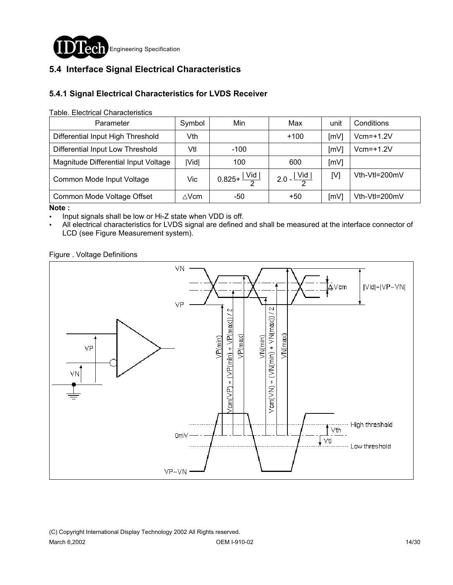

## **5.4 Interface Signal Electrical Characteristics**

### **5.4.1 Signal Electrical Characteristics for LVDS Receiver**

Table. Electrical Characteristics

| Parameter                            | Symbol       | Min                              | Max                     | unit | Conditions    |
|--------------------------------------|--------------|----------------------------------|-------------------------|------|---------------|
| Differential Input High Threshold    | Vth          |                                  | $+100$                  | [mV] | $Vcm=+1.2V$   |
| Differential Input Low Threshold     | Vtl          | $-100$                           |                         | [mV] | $Vcm=+1.2V$   |
| Magnitude Differential Input Voltage | <b>IVidl</b> | 100                              | 600                     | [mV] |               |
| Common Mode Input Voltage            | Vic          | $0.825 + \frac{ \text{Vid} }{2}$ | $2.0 - \frac{ Vid }{2}$ | [V]  | Vth-Vtl=200mV |
| Common Mode Voltage Offset           | $\wedge$ Vcm | -50                              | $+50$                   | [mV] | Vth-Vtl=200mV |

**Note :** 

. Input signals shall be low or Hi-Z state when VDD is off.

All electrical characteristics for LVDS signal are defined and shall be measured at the interface connector of LCD (see Figure Measurement system).

Figure . Voltage Definitions

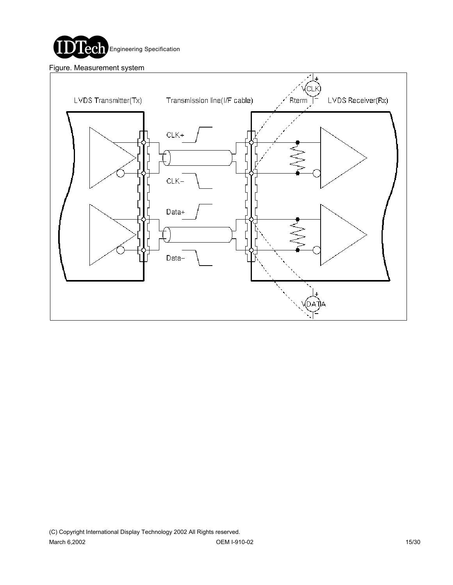

Figure. Measurement system

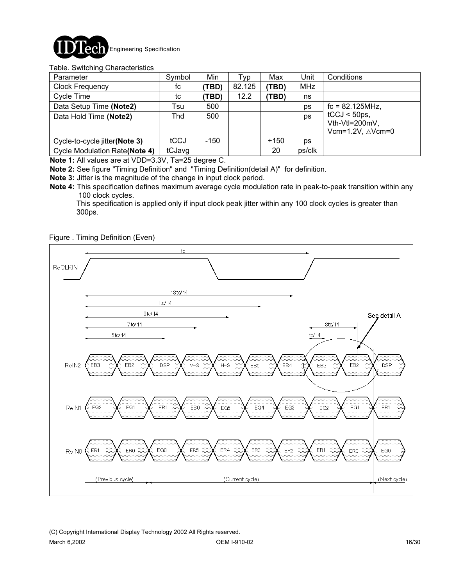

#### Table. Switching Characteristics

| Parameter                            | Symbol | Min    | Typ    | Max    | Unit       | Conditions                                                       |
|--------------------------------------|--------|--------|--------|--------|------------|------------------------------------------------------------------|
| <b>Clock Frequency</b>               | fc     | (TBD)  | 82.125 | (TBD)  | <b>MHz</b> |                                                                  |
| Cycle Time                           | tc     | (TBD)  | 12.2   | (TBD)  | ns         |                                                                  |
| Data Setup Time (Note2)              | Tsu    | 500    |        |        | ps         | $fc = 82.125 MHz$ ,                                              |
| Data Hold Time (Note2)               | Thd    | 500    |        |        | ps         | $tCCJ < 50$ ps,<br>Vth-Vtl=200mV,<br>Vcm=1.2V, $\triangle$ Vcm=0 |
| Cycle-to-cycle jitter(Note 3)        | tCCJ   | $-150$ |        | $+150$ | ps         |                                                                  |
| <b>Cycle Modulation Rate(Note 4)</b> | tCJavg |        |        | 20     | ps/clk     |                                                                  |

**Note 1:** All values are at VDD=3.3V, Ta=25 degree C.

**Note 2:** See figure "Timing Definition" and "Timing Definition(detail A)" for definition.

- **Note 3:** Jitter is the magnitude of the change in input clock period.
- **Note 4:** This specification defines maximum average cycle modulation rate in peak-to-peak transition within any 100 clock cycles.

 This specification is applied only if input clock peak jitter within any 100 clock cycles is greater than 300ps.

Figure . Timing Definition (Even)

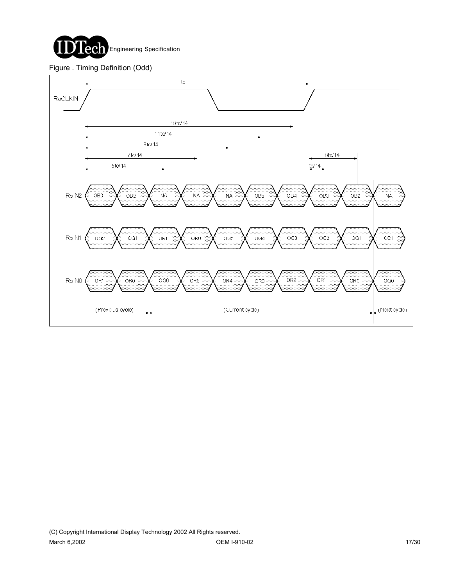

#### Figure . Timing Definition (Odd)

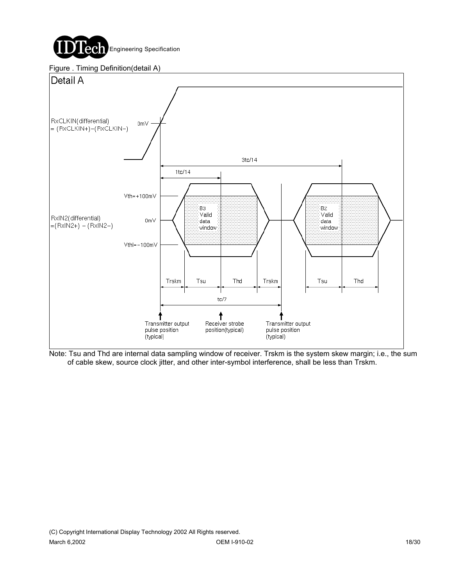

#### Figure . Timing Definition(detail A)



Note: Tsu and Thd are internal data sampling window of receiver. Trskm is the system skew margin; i.e., the sum of cable skew, source clock jitter, and other inter-symbol interference, shall be less than Trskm.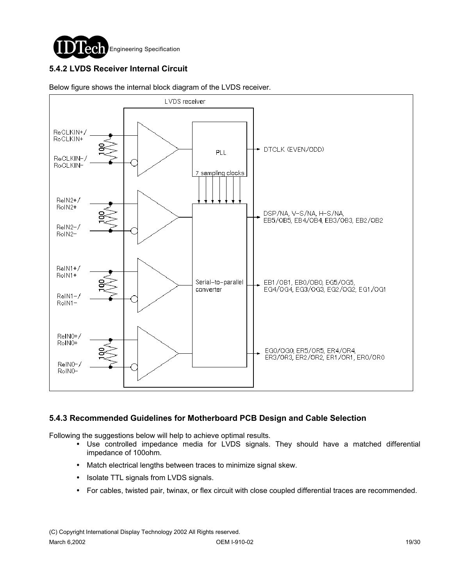

### **5.4.2 LVDS Receiver Internal Circuit**



Below figure shows the internal block diagram of the LVDS receiver.

#### **5.4.3 Recommended Guidelines for Motherboard PCB Design and Cable Selection**

Following the suggestions below will help to achieve optimal results.

- ! Use controlled impedance media for LVDS signals. They should have a matched differential impedance of 100ohm.
- ! Match electrical lengths between traces to minimize signal skew.
- Isolate TTL signals from LVDS signals.
- ! For cables, twisted pair, twinax, or flex circuit with close coupled differential traces are recommended.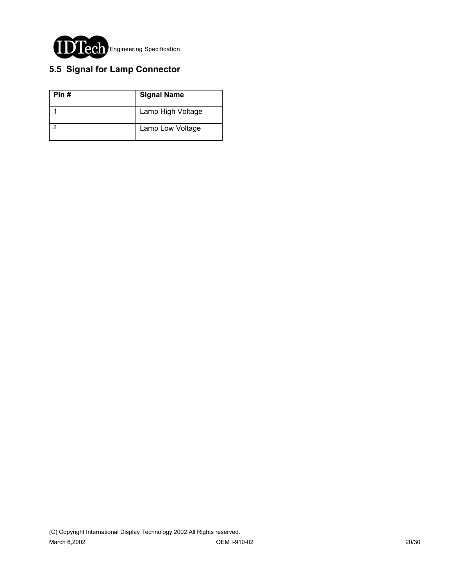

## **5.5 Signal for Lamp Connector**

| Pin# | <b>Signal Name</b> |
|------|--------------------|
|      | Lamp High Voltage  |
|      | Lamp Low Voltage   |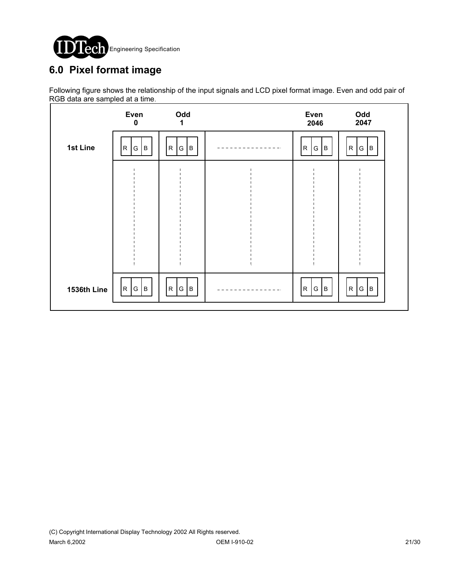

# **6.0 Pixel format image**

Following figure shows the relationship of the input signals and LCD pixel format image. Even and odd pair of RGB data are sampled at a time.

|             | Even<br>$\pmb{0}$     | Odd<br>1                           |      | Even<br>2046         | Odd<br>2047           |  |
|-------------|-----------------------|------------------------------------|------|----------------------|-----------------------|--|
| 1st Line    | G<br>B<br>$\mathsf R$ | $\mathsf{R}$<br>${\mathsf G}$<br>B |      | ${\sf R}$<br>B<br>G  | G   B<br>$\mathsf{R}$ |  |
|             |                       |                                    |      |                      |                       |  |
|             |                       |                                    |      |                      |                       |  |
|             |                       |                                    |      |                      |                       |  |
|             |                       |                                    |      |                      |                       |  |
| 1536th Line | R <br>B<br>G          | R<br>G<br>Iв                       | $ -$ | G $ B $<br>${\sf R}$ | R G B                 |  |
|             |                       |                                    |      |                      |                       |  |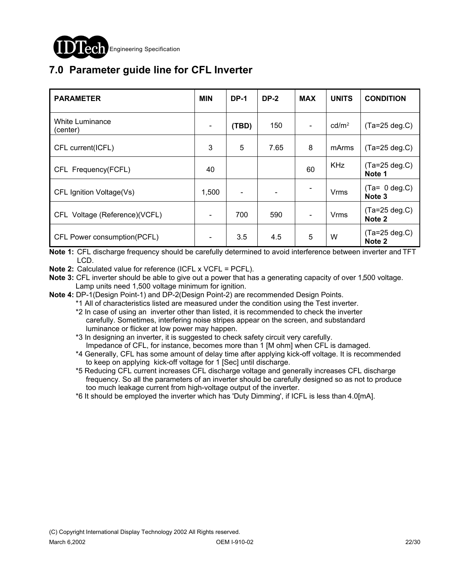

# **7.0 Parameter guide line for CFL Inverter**

| <b>PARAMETER</b>              | <b>MIN</b>               | <b>DP-1</b> | <b>DP-2</b> | <b>MAX</b>     | <b>UNITS</b>      | <b>CONDITION</b>                     |
|-------------------------------|--------------------------|-------------|-------------|----------------|-------------------|--------------------------------------|
| White Luminance<br>(center)   | $\overline{\phantom{a}}$ | (TBD)       | 150         | $\blacksquare$ | cd/m <sup>2</sup> | $(Ta=25 \text{ deg.C})$              |
| CFL current(ICFL)             | 3                        | 5           | 7.65        | 8              | mArms             | $(Ta=25 deg.C)$                      |
| CFL Frequency(FCFL)           | 40                       |             |             | 60             | <b>KHz</b>        | $(Ta=25 \deg.C)$<br>Note 1           |
| CFL Ignition Voltage(Vs)      | 1,500                    |             |             |                | Vrms              | $(Ta= 0 deg.C)$<br>Note <sub>3</sub> |
| CFL Voltage (Reference)(VCFL) | $\overline{\phantom{a}}$ | 700         | 590         | $\blacksquare$ | <b>Vrms</b>       | $(Ta=25 deg.C)$<br>Note <sub>2</sub> |
| CFL Power consumption(PCFL)   |                          | 3.5         | 4.5         | 5              | W                 | $(Ta=25 deg.C)$<br>Note <sub>2</sub> |

**Note 1:** CFL discharge frequency should be carefully determined to avoid interference between inverter and TFT LCD.

**Note 2:** Calculated value for reference (ICFL x VCFL = PCFL).

- **Note 3:** CFL inverter should be able to give out a power that has a generating capacity of over 1,500 voltage. Lamp units need 1,500 voltage minimum for ignition.
- **Note 4:** DP-1(Design Point-1) and DP-2(Design Point-2) are recommended Design Points.
	- \*1 All of characteristics listed are measured under the condition using the Test inverter.
	- \*2 In case of using an inverter other than listed, it is recommended to check the inverter carefully. Sometimes, interfering noise stripes appear on the screen, and substandard luminance or flicker at low power may happen.
	- \*3 In designing an inverter, it is suggested to check safety circuit very carefully. Impedance of CFL, for instance, becomes more than 1 [M ohm] when CFL is damaged.
	- \*4 Generally, CFL has some amount of delay time after applying kick-off voltage. It is recommended to keep on applying kick-off voltage for 1 [Sec] until discharge.
	- \*5 Reducing CFL current increases CFL discharge voltage and generally increases CFL discharge frequency. So all the parameters of an inverter should be carefully designed so as not to produce too much leakage current from high-voltage output of the inverter.
	- \*6 It should be employed the inverter which has 'Duty Dimming', if ICFL is less than 4.0[mA].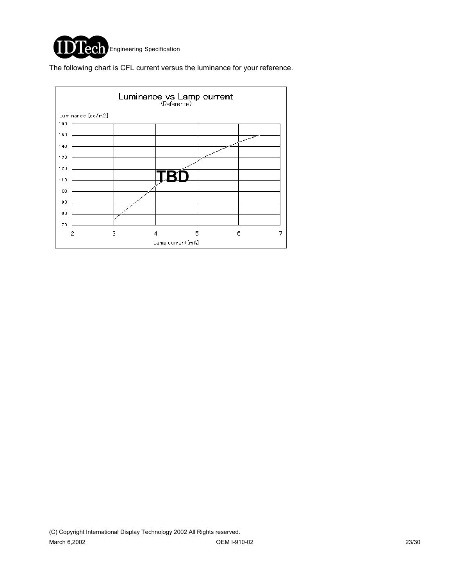

The following chart is CFL current versus the luminance for your reference.

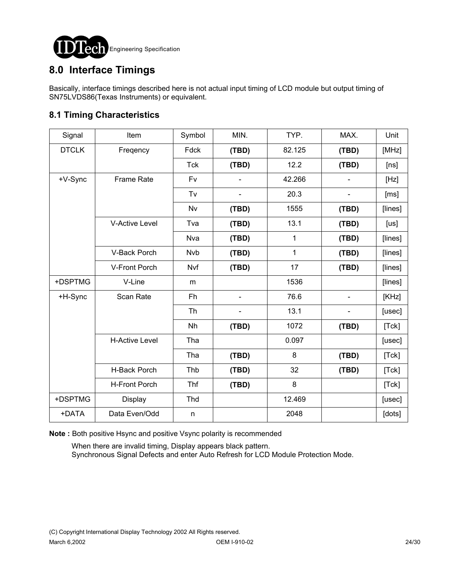

## **8.0 Interface Timings**

Basically, interface timings described here is not actual input timing of LCD module but output timing of SN75LVDS86(Texas Instruments) or equivalent.

### **8.1 Timing Characteristics**

| Signal       | Item                  | Symbol     | MIN.  | TYP.        | MAX.                         | Unit    |
|--------------|-----------------------|------------|-------|-------------|------------------------------|---------|
| <b>DTCLK</b> | Freqency              | Fdck       | (TBD) | 82.125      | (TBD)                        | [MHz]   |
|              |                       | <b>Tck</b> | (TBD) | 12.2        | (TBD)                        | [ns]    |
| +V-Sync      | <b>Frame Rate</b>     | Fv         |       | 42.266      |                              | [Hz]    |
|              |                       | Tv         |       | 20.3        |                              | [ms]    |
|              |                       | Nv         | (TBD) | 1555        | (TBD)                        | [lines] |
|              | <b>V-Active Level</b> | Tva        | (TBD) | 13.1        | (TBD)                        | [us]    |
|              |                       | Nva        | (TBD) | 1           | (TBD)                        | [lines] |
|              | V-Back Porch          | <b>Nvb</b> | (TBD) | $\mathbf 1$ | (TBD)                        | [lines] |
|              | V-Front Porch         | Nvf        | (TBD) | 17          | (TBD)                        | [lines] |
| +DSPTMG      | V-Line                | m          |       | 1536        |                              | [lines] |
| +H-Sync      | Scan Rate             | Fh         |       | 76.6        | $\qquad \qquad \blacksquare$ | [KHz]   |
|              |                       | <b>Th</b>  |       | 13.1        | $\overline{a}$               | [usec]  |
|              |                       | Nh         | (TBD) | 1072        | (TBD)                        | [Tck]   |
|              | <b>H-Active Level</b> | Tha        |       | 0.097       |                              | [usec]  |
|              |                       | Tha        | (TBD) | 8           | (TBD)                        | [Tck]   |
|              | H-Back Porch          | Thb        | (TBD) | 32          | (TBD)                        | [Tck]   |
|              | <b>H-Front Porch</b>  | Thf        | (TBD) | 8           |                              | [Tck]   |
| +DSPTMG      | Display               | Thd        |       | 12.469      |                              | [usec]  |
| +DATA        | Data Even/Odd         | n          |       | 2048        |                              | [dots]  |

**Note :** Both positive Hsync and positive Vsync polarity is recommended

 When there are invalid timing, Display appears black pattern. Synchronous Signal Defects and enter Auto Refresh for LCD Module Protection Mode.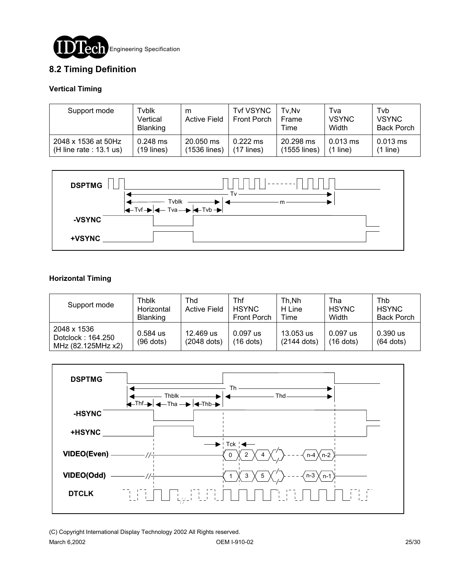

### **8.2 Timing Definition**

#### **Vertical Timing**

| Support mode              | Tvblk<br>Vertical<br><b>Blanking</b> | m<br><b>Active Field</b> | <b>Tvf VSYNC</b><br>Front Porch | Tv.Nv<br><b>Frame</b><br>Time | Tva<br><b>VSYNC</b><br>Width | Tyb<br><b>VSYNC</b><br><b>Back Porch</b> |
|---------------------------|--------------------------------------|--------------------------|---------------------------------|-------------------------------|------------------------------|------------------------------------------|
| 2048 x 1536 at 50Hz       | $0.248$ ms                           | 20.050 ms                | $0.222$ ms                      | 20.298 ms                     | $0.013$ ms                   | $0.013$ ms                               |
| (H line rate : $13.1$ us) | $(19$ lines)                         | (1536 lines)             | $(17$ lines)                    | (1555 lines)                  | $(1$ line)                   | (1 line)                                 |



#### **Horizontal Timing**

| Support mode                                           | Thblk<br>Horizontal<br><b>Blanking</b> | Thd<br><b>Active Field</b> | Thf<br><b>HSYNC</b><br><b>Front Porch</b> | Th.Nh<br>H Line<br>Time    | Tha<br><b>HSYNC</b><br>Width | Thb<br><b>HSYNC</b><br><b>Back Porch</b> |
|--------------------------------------------------------|----------------------------------------|----------------------------|-------------------------------------------|----------------------------|------------------------------|------------------------------------------|
| 2048 x 1536<br>Dotclock: 164.250<br>MHz (82.125MHz x2) | 0.584 us<br>$(96$ dots)                | 12.469 us<br>(2048 dots)   | $0.097$ us<br>$(16$ dots)                 | 13.053 us<br>$(2144$ dots) | 0.097 us<br>$(16$ dots)      | $0.390$ us<br>$(64$ dots)                |



(C) Copyright International Display Technology 2002 All Rights reserved.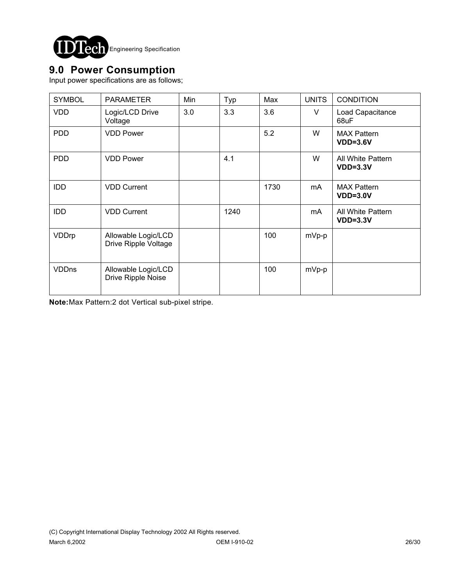

## **9.0 Power Consumption**

Input power specifications are as follows;

| <b>SYMBOL</b> | <b>PARAMETER</b>                            | Min | Typ  | Max  | <b>UNITS</b> | <b>CONDITION</b>                 |
|---------------|---------------------------------------------|-----|------|------|--------------|----------------------------------|
| <b>VDD</b>    | Logic/LCD Drive<br>Voltage                  | 3.0 | 3.3  | 3.6  | V            | Load Capacitance<br>68uF         |
| <b>PDD</b>    | <b>VDD Power</b>                            |     |      | 5.2  | W            | <b>MAX Pattern</b><br>$VDD=3.6V$ |
| <b>PDD</b>    | <b>VDD Power</b>                            |     | 4.1  |      | W            | All White Pattern<br>$VDD=3.3V$  |
| <b>IDD</b>    | <b>VDD Current</b>                          |     |      | 1730 | mA           | <b>MAX Pattern</b><br>$VDD=3.0V$ |
| <b>IDD</b>    | <b>VDD Current</b>                          |     | 1240 |      | mA           | All White Pattern<br>$VDD=3.3V$  |
| VDDrp         | Allowable Logic/LCD<br>Drive Ripple Voltage |     |      | 100  | mVp-p        |                                  |
| <b>VDDns</b>  | Allowable Logic/LCD<br>Drive Ripple Noise   |     |      | 100  | mVp-p        |                                  |

**Note:**Max Pattern:2 dot Vertical sub-pixel stripe.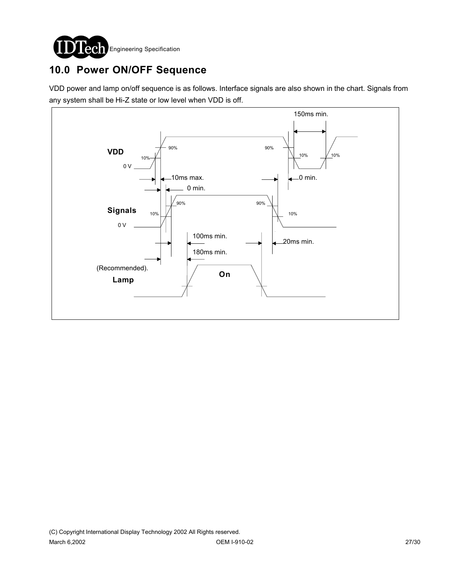

# **10.0 Power ON/OFF Sequence**

VDD power and lamp on/off sequence is as follows. Interface signals are also shown in the chart. Signals from any system shall be Hi-Z state or low level when VDD is off.

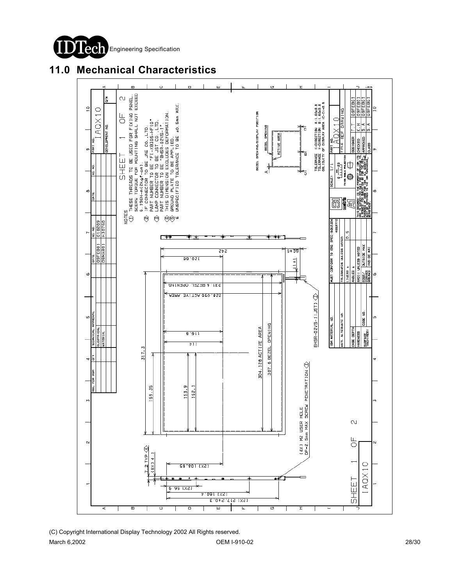

## **11.0 Mechanical Characteristics**

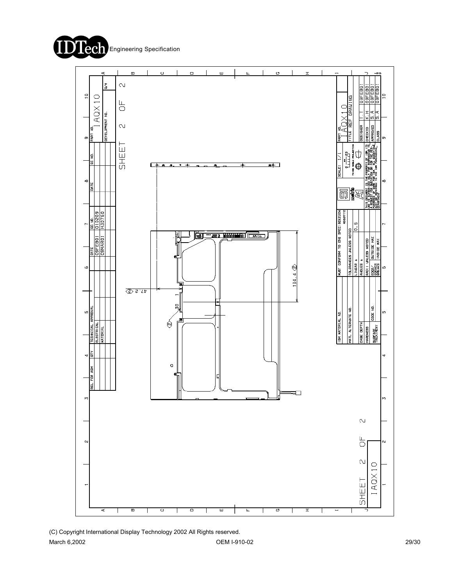